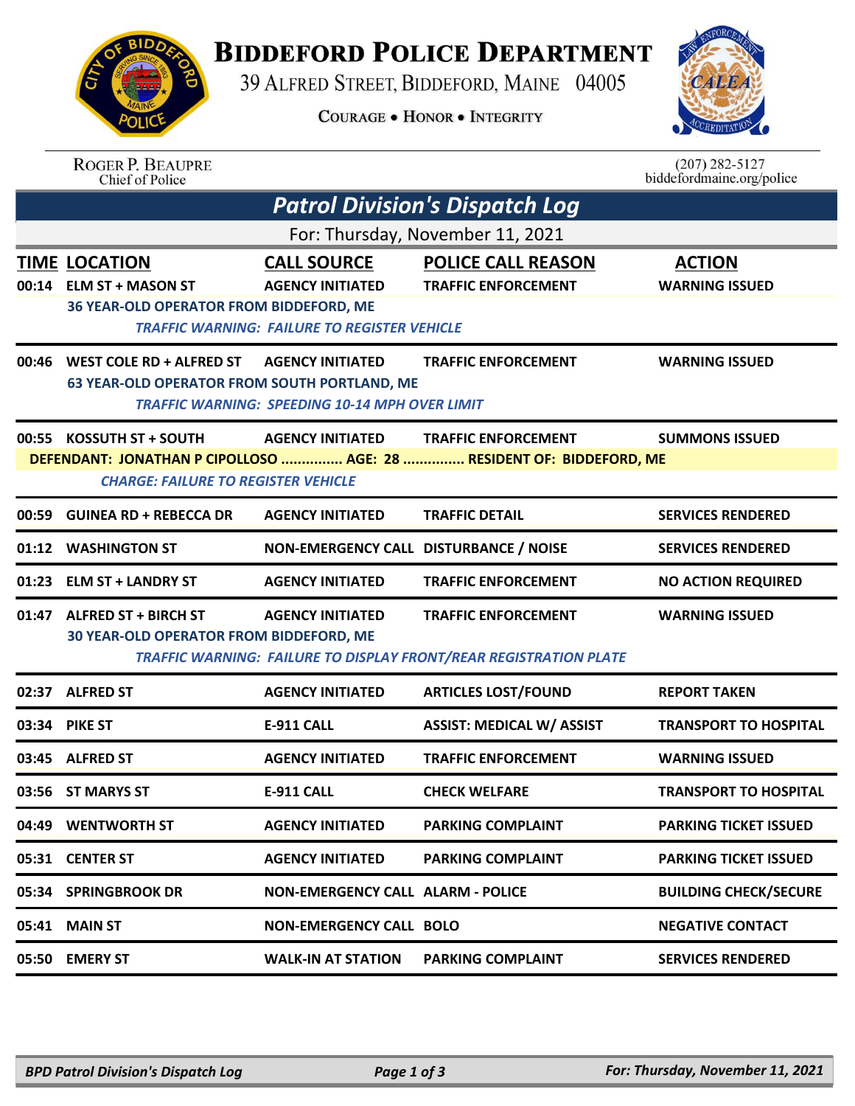## **BIDDEFORD POLICE DEPARTMENT**

39 ALFRED STREET, BIDDEFORD, MAINE 04005

**COURAGE . HONOR . INTEGRITY** 



| <b>BIDDA</b> |  |
|--------------|--|
|              |  |
| <b>A</b> C   |  |
| POL<br>CF    |  |
|              |  |

ROGER P. BEAUPRE<br>Chief of Police

| $(207)$ 282-5127          |
|---------------------------|
| biddefordmaine.org/police |

| <b>Patrol Division's Dispatch Log</b> |                                                                                                                                                                                                                                  |                                                                                                      |                                                                                                        |                                        |  |
|---------------------------------------|----------------------------------------------------------------------------------------------------------------------------------------------------------------------------------------------------------------------------------|------------------------------------------------------------------------------------------------------|--------------------------------------------------------------------------------------------------------|----------------------------------------|--|
|                                       | For: Thursday, November 11, 2021                                                                                                                                                                                                 |                                                                                                      |                                                                                                        |                                        |  |
|                                       | <b>TIME LOCATION</b><br>00:14 ELM ST + MASON ST<br>36 YEAR-OLD OPERATOR FROM BIDDEFORD, ME                                                                                                                                       | <b>CALL SOURCE</b><br><b>AGENCY INITIATED</b><br><b>TRAFFIC WARNING: FAILURE TO REGISTER VEHICLE</b> | <b>POLICE CALL REASON</b><br><b>TRAFFIC ENFORCEMENT</b>                                                | <b>ACTION</b><br><b>WARNING ISSUED</b> |  |
|                                       | 00:46 WEST COLE RD + ALFRED ST<br><b>63 YEAR-OLD OPERATOR FROM SOUTH PORTLAND, ME</b>                                                                                                                                            | <b>AGENCY INITIATED</b><br><b>TRAFFIC WARNING: SPEEDING 10-14 MPH OVER LIMIT</b>                     | <b>TRAFFIC ENFORCEMENT</b>                                                                             | <b>WARNING ISSUED</b>                  |  |
|                                       | 00:55 KOSSUTH ST + SOUTH<br><b>AGENCY INITIATED</b><br><b>TRAFFIC ENFORCEMENT</b><br><b>SUMMONS ISSUED</b><br>DEFENDANT: JONATHAN P CIPOLLOSO  AGE: 28  RESIDENT OF: BIDDEFORD, ME<br><b>CHARGE: FAILURE TO REGISTER VEHICLE</b> |                                                                                                      |                                                                                                        |                                        |  |
|                                       | 00:59 GUINEA RD + REBECCA DR                                                                                                                                                                                                     | <b>AGENCY INITIATED</b>                                                                              | <b>TRAFFIC DETAIL</b>                                                                                  | <b>SERVICES RENDERED</b>               |  |
|                                       | 01:12 WASHINGTON ST                                                                                                                                                                                                              | NON-EMERGENCY CALL DISTURBANCE / NOISE                                                               |                                                                                                        | <b>SERVICES RENDERED</b>               |  |
|                                       | 01:23 ELM ST + LANDRY ST                                                                                                                                                                                                         | <b>AGENCY INITIATED</b>                                                                              | <b>TRAFFIC ENFORCEMENT</b>                                                                             | <b>NO ACTION REQUIRED</b>              |  |
|                                       | 01:47 ALFRED ST + BIRCH ST<br>30 YEAR-OLD OPERATOR FROM BIDDEFORD, ME                                                                                                                                                            | <b>AGENCY INITIATED</b>                                                                              | <b>TRAFFIC ENFORCEMENT</b><br><b>TRAFFIC WARNING: FAILURE TO DISPLAY FRONT/REAR REGISTRATION PLATE</b> | <b>WARNING ISSUED</b>                  |  |
|                                       | 02:37 ALFRED ST                                                                                                                                                                                                                  | <b>AGENCY INITIATED</b>                                                                              | <b>ARTICLES LOST/FOUND</b>                                                                             | <b>REPORT TAKEN</b>                    |  |
|                                       | 03:34 PIKE ST                                                                                                                                                                                                                    | <b>E-911 CALL</b>                                                                                    | <b>ASSIST: MEDICAL W/ ASSIST</b>                                                                       | <b>TRANSPORT TO HOSPITAL</b>           |  |
|                                       | 03:45 ALFRED ST                                                                                                                                                                                                                  | <b>AGENCY INITIATED</b>                                                                              | <b>TRAFFIC ENFORCEMENT</b>                                                                             | <b>WARNING ISSUED</b>                  |  |
|                                       | 03:56 ST MARYS ST                                                                                                                                                                                                                | <b>E-911 CALL</b>                                                                                    | <b>CHECK WELFARE</b>                                                                                   | <b>TRANSPORT TO HOSPITAL</b>           |  |
|                                       | 04:49 WENTWORTH ST                                                                                                                                                                                                               | <b>AGENCY INITIATED</b>                                                                              | <b>PARKING COMPLAINT</b>                                                                               | <b>PARKING TICKET ISSUED</b>           |  |
|                                       | 05:31 CENTER ST                                                                                                                                                                                                                  | <b>AGENCY INITIATED</b>                                                                              | <b>PARKING COMPLAINT</b>                                                                               | <b>PARKING TICKET ISSUED</b>           |  |
|                                       | 05:34 SPRINGBROOK DR                                                                                                                                                                                                             | <b>NON-EMERGENCY CALL ALARM - POLICE</b>                                                             |                                                                                                        | <b>BUILDING CHECK/SECURE</b>           |  |
| 05:41                                 | <b>MAIN ST</b>                                                                                                                                                                                                                   | <b>NON-EMERGENCY CALL BOLO</b>                                                                       |                                                                                                        | <b>NEGATIVE CONTACT</b>                |  |
|                                       | 05:50 EMERY ST                                                                                                                                                                                                                   | <b>WALK-IN AT STATION</b>                                                                            | <b>PARKING COMPLAINT</b>                                                                               | <b>SERVICES RENDERED</b>               |  |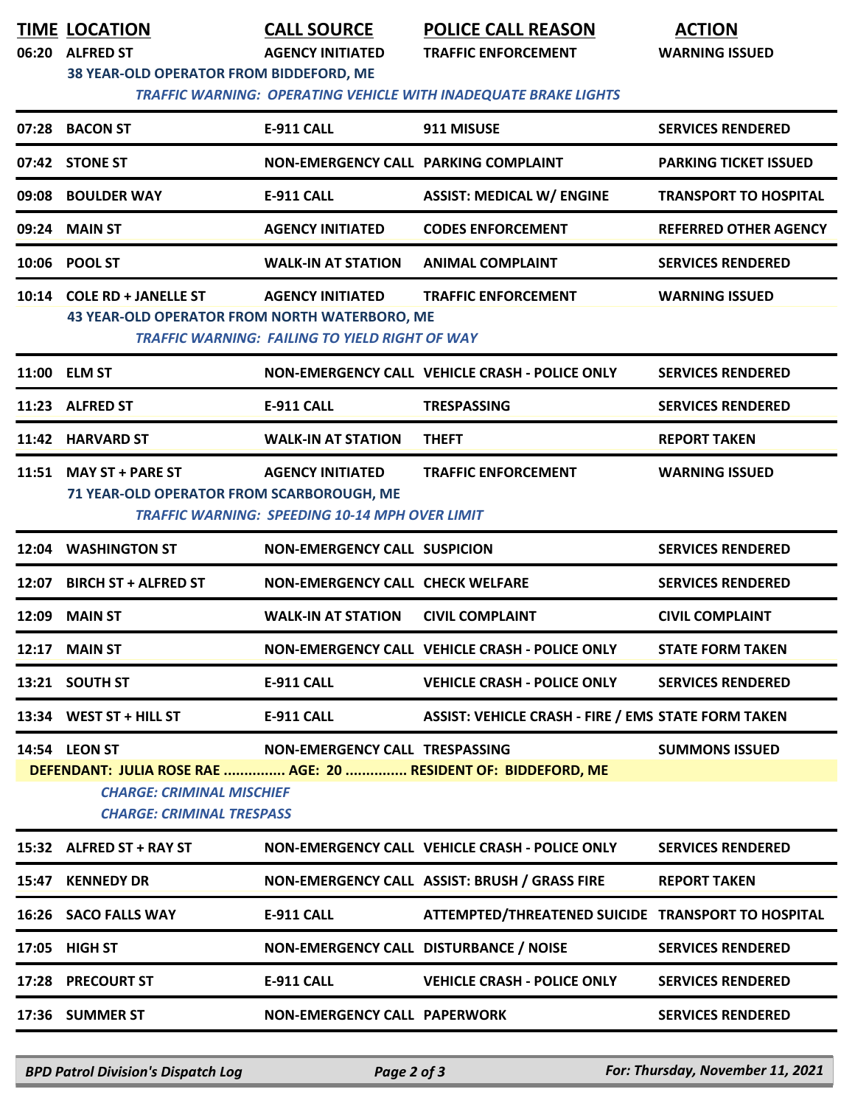| TIME LOCATION |
|---------------|
|               |

**TIME LOCATION CALL SOURCE POLICE CALL REASON ACTION**

**06:20 ALFRED ST AGENCY INITIATED TRAFFIC ENFORCEMENT WARNING ISSUED**

 *TRAFFIC WARNING: OPERATING VEHICLE WITH INADEQUATE BRAKE LIGHTS* 

|                                                                                                                                                                                                                    |                                                                             |                                                                                  | IRAFFIC WARNING:  OPERATING VEHICLE WITH INADEQUATE BRAKE LIGHTS |                              |
|--------------------------------------------------------------------------------------------------------------------------------------------------------------------------------------------------------------------|-----------------------------------------------------------------------------|----------------------------------------------------------------------------------|------------------------------------------------------------------|------------------------------|
| 07:28                                                                                                                                                                                                              | <b>BACON ST</b>                                                             | E-911 CALL                                                                       | 911 MISUSE                                                       | <b>SERVICES RENDERED</b>     |
|                                                                                                                                                                                                                    | 07:42 STONE ST                                                              | NON-EMERGENCY CALL PARKING COMPLAINT                                             |                                                                  | <b>PARKING TICKET ISSUED</b> |
| 09:08                                                                                                                                                                                                              | <b>BOULDER WAY</b>                                                          | <b>E-911 CALL</b>                                                                | <b>ASSIST: MEDICAL W/ ENGINE</b>                                 | <b>TRANSPORT TO HOSPITAL</b> |
| 09:24                                                                                                                                                                                                              | <b>MAIN ST</b>                                                              | <b>AGENCY INITIATED</b>                                                          | <b>CODES ENFORCEMENT</b>                                         | <b>REFERRED OTHER AGENCY</b> |
| 10:06                                                                                                                                                                                                              | <b>POOL ST</b>                                                              | <b>WALK-IN AT STATION</b>                                                        | <b>ANIMAL COMPLAINT</b>                                          | <b>SERVICES RENDERED</b>     |
|                                                                                                                                                                                                                    | 10:14 COLE RD + JANELLE ST<br>43 YEAR-OLD OPERATOR FROM NORTH WATERBORO, ME | <b>AGENCY INITIATED</b><br><b>TRAFFIC WARNING: FAILING TO YIELD RIGHT OF WAY</b> | <b>TRAFFIC ENFORCEMENT</b>                                       | <b>WARNING ISSUED</b>        |
|                                                                                                                                                                                                                    | 11:00 ELM ST                                                                |                                                                                  | NON-EMERGENCY CALL VEHICLE CRASH - POLICE ONLY                   | <b>SERVICES RENDERED</b>     |
|                                                                                                                                                                                                                    | 11:23 ALFRED ST                                                             | E-911 CALL                                                                       | <b>TRESPASSING</b>                                               | <b>SERVICES RENDERED</b>     |
|                                                                                                                                                                                                                    | 11:42 HARVARD ST                                                            | <b>WALK-IN AT STATION</b>                                                        | <b>THEFT</b>                                                     | <b>REPORT TAKEN</b>          |
| 11:51                                                                                                                                                                                                              | <b>MAY ST + PARE ST</b><br>71 YEAR-OLD OPERATOR FROM SCARBOROUGH, ME        | <b>AGENCY INITIATED</b><br><b>TRAFFIC WARNING: SPEEDING 10-14 MPH OVER LIMIT</b> | <b>TRAFFIC ENFORCEMENT</b>                                       | <b>WARNING ISSUED</b>        |
| 12:04                                                                                                                                                                                                              | <b>WASHINGTON ST</b>                                                        | <b>NON-EMERGENCY CALL SUSPICION</b>                                              |                                                                  | <b>SERVICES RENDERED</b>     |
| 12:07                                                                                                                                                                                                              | <b>BIRCH ST + ALFRED ST</b>                                                 | <b>NON-EMERGENCY CALL CHECK WELFARE</b>                                          |                                                                  | <b>SERVICES RENDERED</b>     |
| 12:09                                                                                                                                                                                                              | <b>MAIN ST</b>                                                              | <b>WALK-IN AT STATION</b>                                                        | <b>CIVIL COMPLAINT</b>                                           | <b>CIVIL COMPLAINT</b>       |
|                                                                                                                                                                                                                    | 12:17 MAIN ST                                                               |                                                                                  | NON-EMERGENCY CALL VEHICLE CRASH - POLICE ONLY                   | <b>STATE FORM TAKEN</b>      |
|                                                                                                                                                                                                                    | 13:21 SOUTH ST                                                              | <b>E-911 CALL</b>                                                                | <b>VEHICLE CRASH - POLICE ONLY</b>                               | <b>SERVICES RENDERED</b>     |
|                                                                                                                                                                                                                    | 13:34 WEST ST + HILL ST                                                     | <b>E-911 CALL</b>                                                                | <b>ASSIST: VEHICLE CRASH - FIRE / EMS STATE FORM TAKEN</b>       |                              |
| 14:54 LEON ST<br>NON-EMERGENCY CALL TRESPASSING<br><b>SUMMONS ISSUED</b><br>DEFENDANT: JULIA ROSE RAE  AGE: 20  RESIDENT OF: BIDDEFORD, ME<br><b>CHARGE: CRIMINAL MISCHIEF</b><br><b>CHARGE: CRIMINAL TRESPASS</b> |                                                                             |                                                                                  |                                                                  |                              |
|                                                                                                                                                                                                                    | 15:32 ALFRED ST + RAY ST                                                    |                                                                                  | NON-EMERGENCY CALL VEHICLE CRASH - POLICE ONLY                   | <b>SERVICES RENDERED</b>     |
|                                                                                                                                                                                                                    | 15:47 KENNEDY DR                                                            |                                                                                  | NON-EMERGENCY CALL ASSIST: BRUSH / GRASS FIRE                    | <b>REPORT TAKEN</b>          |
|                                                                                                                                                                                                                    | 16:26 SACO FALLS WAY                                                        | E-911 CALL                                                                       | ATTEMPTED/THREATENED SUICIDE TRANSPORT TO HOSPITAL               |                              |
| 17:05                                                                                                                                                                                                              | HIGH ST                                                                     | NON-EMERGENCY CALL DISTURBANCE / NOISE                                           |                                                                  | <b>SERVICES RENDERED</b>     |
|                                                                                                                                                                                                                    | 17:28 PRECOURT ST                                                           | E-911 CALL                                                                       | <b>VEHICLE CRASH - POLICE ONLY</b>                               | <b>SERVICES RENDERED</b>     |
|                                                                                                                                                                                                                    | 17:36 SUMMER ST                                                             | <b>NON-EMERGENCY CALL PAPERWORK</b>                                              |                                                                  | <b>SERVICES RENDERED</b>     |
|                                                                                                                                                                                                                    |                                                                             |                                                                                  |                                                                  |                              |

*BPD Patrol Division's Dispatch Log Page 2 of 3 For: Thursday, November 11, 2021*